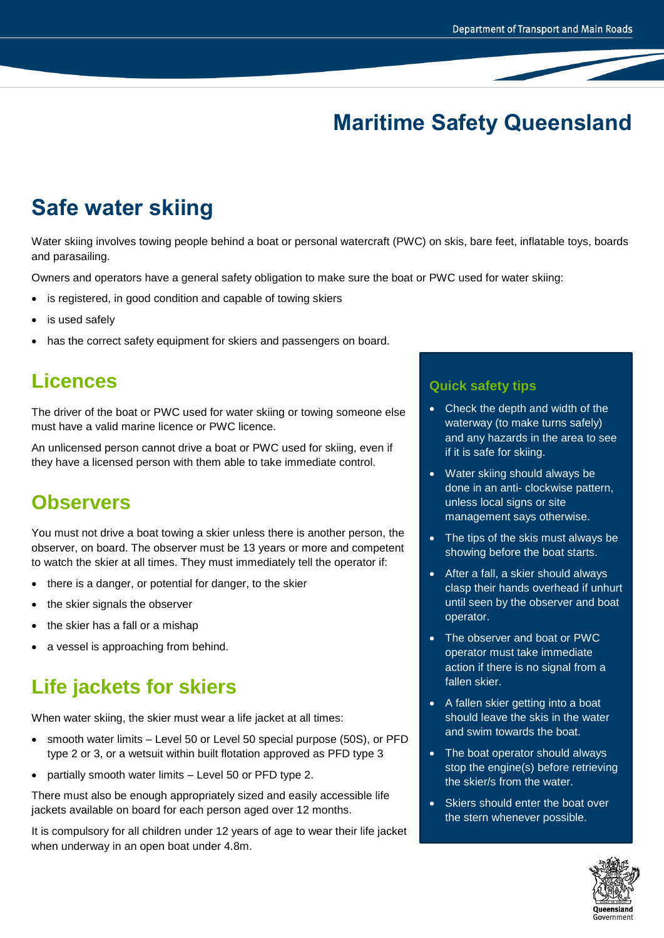## **Maritime Safety Queensland**

# **Safe water skiing**

Water skiing involves towing people behind a boat or personal watercraft (PWC) on skis, bare feet, inflatable toys, boards and parasailing.

Owners and operators have a general safety obligation to make sure the boat or PWC used for water skiing:

- is registered, in good condition and capable of towing skiers
- is used safely
- has the correct safety equipment for skiers and passengers on board.

#### **Licences**

The driver of the boat or PWC used for water skiing or towing someone else must have a valid marine licence or PWC licence.

An unlicensed person cannot drive a boat or PWC used for skiing, even if they have a licensed person with them able to take immediate control.

### **Observers**

You must not drive a boat towing a skier unless there is another person, the observer, on board. The observer must be 13 years or more and competent to watch the skier at all times. They must immediately tell the operator if:

- there is a danger, or potential for danger, to the skier
- the skier signals the observer
- the skier has a fall or a mishap
- a vessel is approaching from behind.

## **Life jackets for skiers**

When water skiing, the skier must wear a life jacket at all times:

- smooth water limits Level 50 or Level 50 special purpose (50S), or PFD type 2 or 3, or a wetsuit within built flotation approved as PFD type 3
- partially smooth water limits Level 50 or PFD type 2.

There must also be enough appropriately sized and easily accessible life jackets available on board for each person aged over 12 months.

It is compulsory for all children under 12 years of age to wear their life jacket when underway in an open boat under 4.8m.

#### **Quick safety tips**

- Check the depth and width of the waterway (to make turns safely) and any hazards in the area to see if it is safe for skiing.
- Water skiing should always be done in an anti- clockwise pattern, unless local signs or site management says otherwise.
- The tips of the skis must always be showing before the boat starts.
- After a fall, a skier should always clasp their hands overhead if unhurt until seen by the observer and boat operator.
- The observer and boat or PWC operator must take immediate action if there is no signal from a fallen skier.
- A fallen skier getting into a boat should leave the skis in the water and swim towards the boat.
- The boat operator should always stop the engine(s) before retrieving the skier/s from the water.
- Skiers should enter the boat over the stern whenever possible.